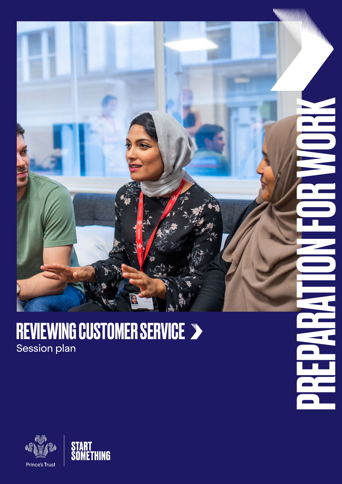

**NEER** 

### REVIEWING CUSTOMER SERVICE Session plan



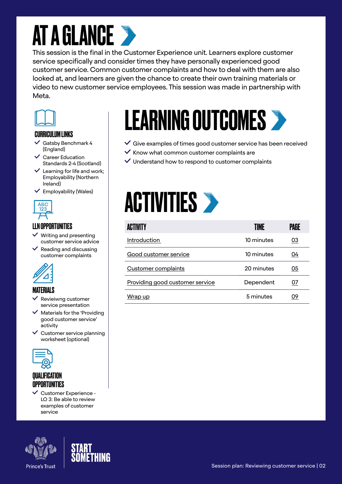### **AT A GLANCE >**

This session is the final in the Customer Experience unit. Learners explore customer service specifically and consider times they have personally experienced good customer service. Common customer complaints and how to deal with them are also looked at, and learners are given the chance to create their own training materials or video to new customer service employees. This session was made in partnership with Meta.



#### CURRICULUM LINKS

- Gatsby Benchmark 4 (England)
- $\checkmark$  Career Education Standards 2-4 (Scotland)
- $\checkmark$  Learning for life and work; Employability (Northern Ireland)
- Employability (Wales)



### LLN OPPORTUNITIES

- $\vee$  Writing and presenting customer service advice
- $\vee$  Reading and discussing customer complaints



#### MATERIALS

- Revieiwng customer service presentation
- $\checkmark$  Materials for the 'Providing' good customer service' activity
- $\checkmark$  Customer service planning worksheet (optional)



### **QUALIFICATION** OPPORTUNITIES

 $\checkmark$  Customer Experience -LO 3: Be able to review examples of customer service





# LEARNING OUTCOMES

- $\checkmark$  Give examples of times good customer service has been received
- $\checkmark$  Know what common customer complaints are
- $\vee$  Understand how to respond to customer complaints

### **ACTIVITIES >**

| <b>ACTIVITY</b>                        | <b>TIME</b> | PAGE      |
|----------------------------------------|-------------|-----------|
| Introduction                           | 10 minutes  | <u>03</u> |
| Good customer service                  | 10 minutes  | 04        |
| <b>Customer complaints</b>             | 20 minutes  | 05        |
| <b>Providing good customer service</b> | Dependent   | 07        |
| Wrap up                                | 5 minutes   | 09        |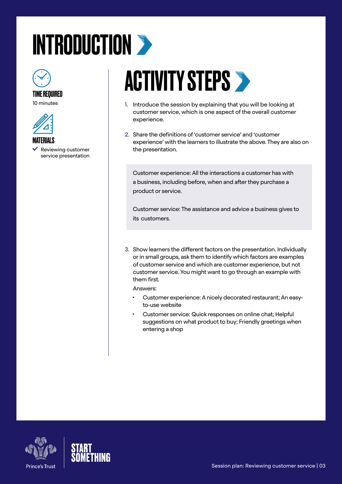# <span id="page-2-0"></span>INTRODUCTION >



#### TIME REQUIRED

10 minutes



- **MATERIALS**
- Reviewing customer service presentation

### **ACTIVITY STEPS >**

- 1. Introduce the session by explaining that you will be looking at customer service, which is one aspect of the overall customer experience.
- 2. Share the definitions of 'customer service' and 'customer experience' with the learners to illustrate the above. They are also on the presentation.

Customer experience: All the interactions a customer has with a business, including before, when and after they purchase a product or service.

Customer service: The assistance and advice a business gives to its customers.

3. Show learners the different factors on the presentation. Individually or in small groups, ask them to identify which factors are examples of customer service and which are customer experience, but not customer service. You might want to go through an example with them first.

Answers:

- Customer experience: A nicely decorated restaurant; An easyto-use website
- Customer service: Quick responses on online chat; Helpful suggestions on what product to buy; Friendly greetings when entering a shop



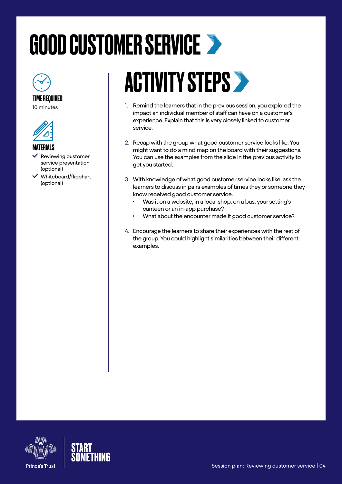# <span id="page-3-0"></span>GOOD CUSTOMER SERVICE



10 minutes



#### MATERIALS

- Reviewing customer service presentation (optional)
- Whiteboard/flipchart (optional)

## **ACTIVITY STEPS >**

- 1. Remind the learners that in the previous session, you explored the impact an individual member of staff can have on a customer's experience. Explain that this is very closely linked to customer service.
- 2. Recap with the group what good customer service looks like. You might want to do a mind map on the board with their suggestions. You can use the examples from the slide in the previous activity to get you started.
- 3. With knowledge of what good customer service looks like, ask the learners to discuss in pairs examples of times they or someone they know received good customer service.
	- Was it on a website, in a local shop, on a bus, your setting's canteen or an in-app purchase?
	- What about the encounter made it good customer service?
- 4. Encourage the learners to share their experiences with the rest of the group. You could highlight similarities between their different examples.



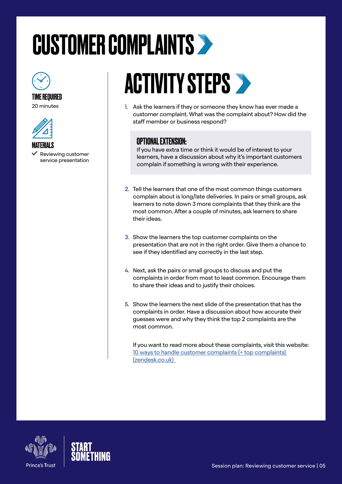# <span id="page-4-0"></span>CUSTOMER COMPLAINTS



### TIME REQUIRED

20 minutes



MATERIALS  $\checkmark$  Reviewing customer service presentation

# **ACTIVITY STEPS >**

1. Ask the learners if they or someone they know has ever made a customer complaint. What was the complaint about? How did the staff member or business respond?

### OPTIONAL EXTENSION:

If you have extra time or think it would be of interest to your learners, have a discussion about why it's important customers complain if something is wrong with their experience.

- 2. Tell the learners that one of the most common things customers complain about is long/late deliveries. In pairs or small groups, ask learners to note down 3 more complaints that they think are the most common. After a couple of minutes, ask learners to share their ideas.
- 3. Show the learners the top customer complaints on the presentation that are not in the right order. Give them a chance to see if they identified any correctly in the last step.
- 4. Next, ask the pairs or small groups to discuss and put the complaints in order from most to least common. Encourage them to share their ideas and to justify their choices.
- 5. Show the learners the next slide of the presentation that has the complaints in order. Have a discussion about how accurate their guesses were and why they think the top 2 complaints are the most common.

If you want to read more about these complaints, visit this website: [10 ways to handle customer complaints \(+ top complaints\)](https://www.zendesk.co.uk/blog/customer-complaints-10-tips-manage-better/)  [\(zendesk.co.uk\)](https://www.zendesk.co.uk/blog/customer-complaints-10-tips-manage-better/) 



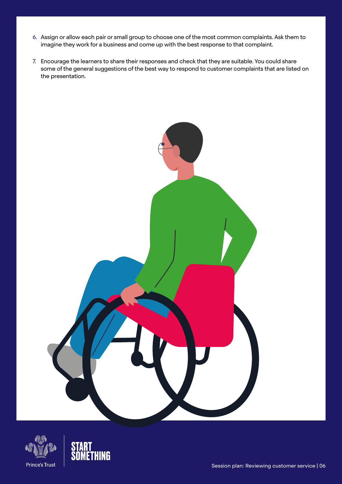- 6. Assign or allow each pair or small group to choose one of the most common complaints. Ask them to imagine they work for a business and come up with the best response to that complaint.
- 7. Encourage the learners to share their responses and check that they are suitable. You could share some of the general suggestions of the best way to respond to customer complaints that are listed on the presentation.





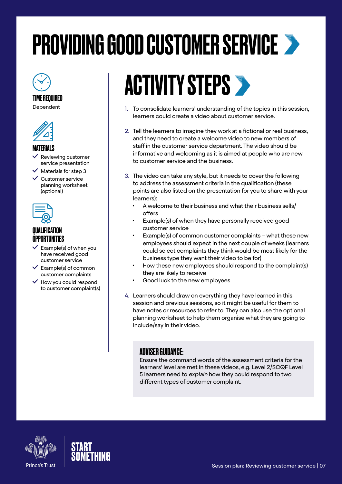# <span id="page-6-0"></span>PROVIDING GOOD CUSTOMER SERVICE



TIME REQUIRED Dependent



### MATERIALS

- Reviewing customer service presentation
- $\blacktriangle$  Materials for step 3
- $\checkmark$  Customer service planning worksheet (optional)



### *OIIAI IFICATION* **OPPORTUNITIES**

- $\vee$  Example(s) of when you have received good customer service
- $\checkmark$  Example(s) of common customer complaints
- $\vee$  How you could respond to customer complaint(s)

# **ACTIVITY STEPS >**

- 1. To consolidate learners' understanding of the topics in this session, learners could create a video about customer service.
- 2. Tell the learners to imagine they work at a fictional or real business, and they need to create a welcome video to new members of staff in the customer service department. The video should be informative and welcoming as it is aimed at people who are new to customer service and the business.
- 3. The video can take any style, but it needs to cover the following to address the assessment criteria in the qualification (these points are also listed on the presentation for you to share with your learners):
	- A welcome to their business and what their business sells/ offers
	- Example(s) of when they have personally received good customer service
	- Example(s) of common customer complaints what these new employees should expect in the next couple of weeks (learners could select complaints they think would be most likely for the business type they want their video to be for)
	- How these new employees should respond to the complaint(s) they are likely to receive
	- Good luck to the new employees
- 4. Learners should draw on everything they have learned in this session and previous sessions, so it might be useful for them to have notes or resources to refer to. They can also use the optional planning worksheet to help them organise what they are going to include/say in their video.

### ADVISER GUIDANCE:

Ensure the command words of the assessment criteria for the learners' level are met in these videos, e.g. Level 2/SCQF Level 5 learners need to explain how they could respond to two different types of customer complaint.



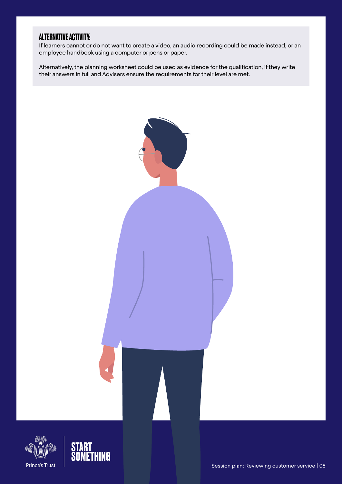### ALTERNATIVE ACTIVITY:

If learners cannot or do not want to create a video, an audio recording could be made instead, or an employee handbook using a computer or pens or paper.

Alternatively, the planning worksheet could be used as evidence for the qualification, if they write their answers in full and Advisers ensure the requirements for their level are met.